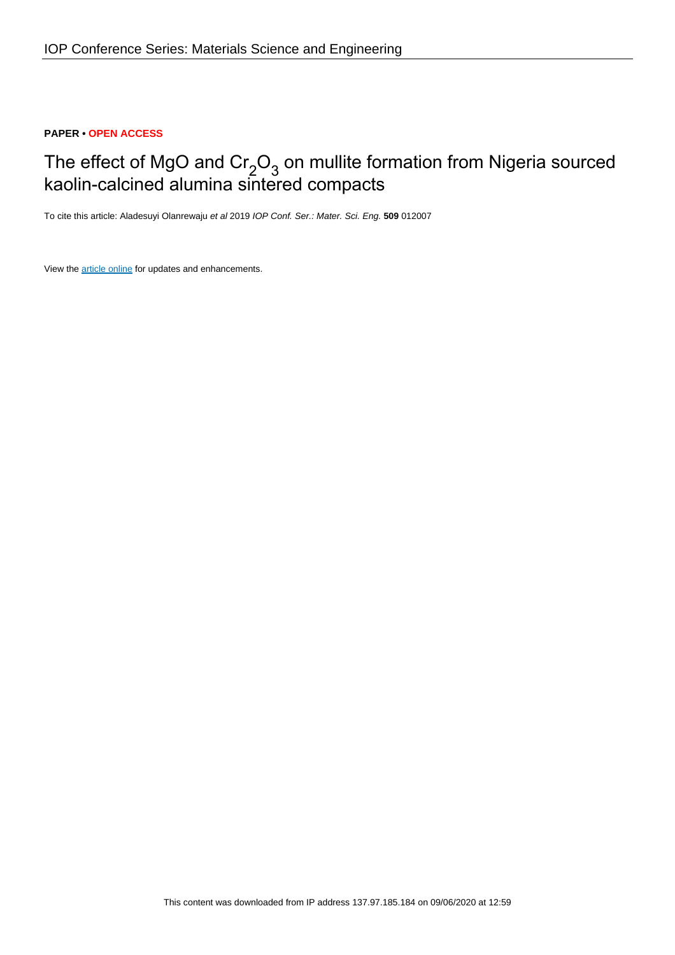## **PAPER • OPEN ACCESS**

# The effect of MgO and  $\text{Cr}_2\text{O}_3$  on mullite formation from Nigeria sourced kaolin-calcined alumina sintered compacts

To cite this article: Aladesuyi Olanrewaju et al 2019 IOP Conf. Ser.: Mater. Sci. Eng. **509** 012007

View the [article online](https://doi.org/10.1088/1757-899X/509/1/012007) for updates and enhancements.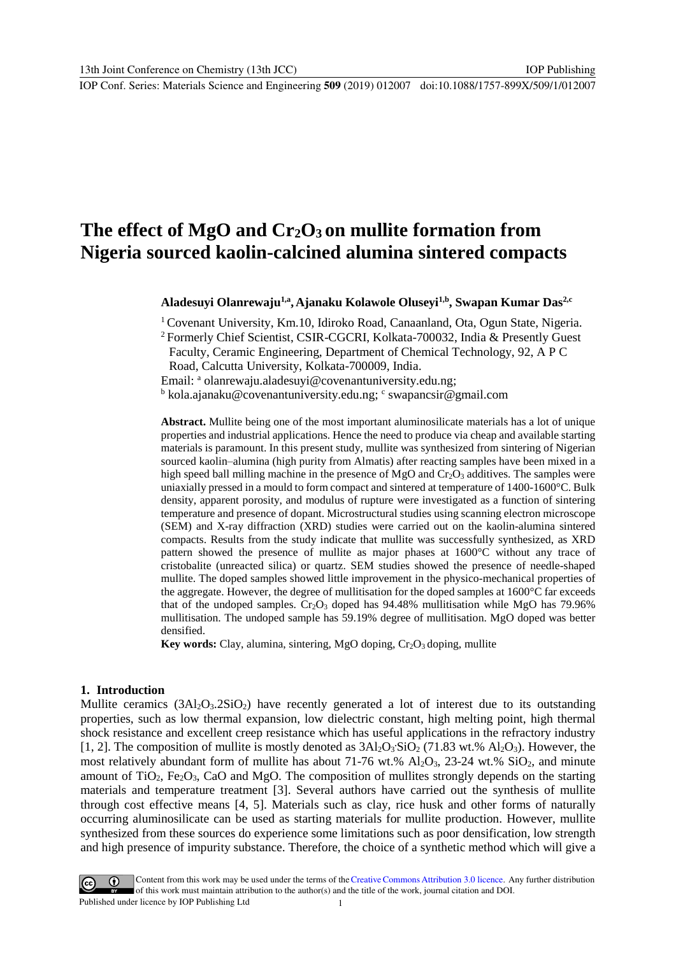## **The effect of MgO and Cr2O<sup>3</sup> on mullite formation from Nigeria sourced kaolin-calcined alumina sintered compacts**

**Aladesuyi Olanrewaju1,a , Ajanaku Kolawole Oluseyi1,b , Swapan Kumar Das2,c**

<sup>1</sup> Covenant University, Km.10, Idiroko Road, Canaanland, Ota, Ogun State, Nigeria.

<sup>2</sup> Formerly Chief Scientist, CSIR-CGCRI, Kolkata-700032, India & Presently Guest Faculty, Ceramic Engineering, Department of Chemical Technology, 92, A P C

Road, Calcutta University, Kolkata-700009, India.

Email: <sup>a</sup> [olanrewaju.aladesuyi@covenantuniversity.edu.ng;](mailto:olanrewaju.aladesuyi@covenantuniversity.edu.ng)

<sup>b</sup> [kola.ajanaku@covenantuniversity.edu.ng;](mailto:kola.ajanaku@covenantuniversity.edu.ng) c [swapancsir@gmail.com](mailto:swapancsir@gmail.com)

**Abstract.** Mullite being one of the most important aluminosilicate materials has a lot of unique properties and industrial applications. Hence the need to produce via cheap and available starting materials is paramount. In this present study, mullite was synthesized from sintering of Nigerian sourced kaolin–alumina (high purity from Almatis) after reacting samples have been mixed in a high speed ball milling machine in the presence of MgO and  $Cr_2O_3$  additives. The samples were uniaxially pressed in a mould to form compact and sintered at temperature of 1400-1600°C. Bulk density, apparent porosity, and modulus of rupture were investigated as a function of sintering temperature and presence of dopant. Microstructural studies using scanning electron microscope (SEM) and X-ray diffraction (XRD) studies were carried out on the kaolin-alumina sintered compacts. Results from the study indicate that mullite was successfully synthesized, as XRD pattern showed the presence of mullite as major phases at 1600°C without any trace of cristobalite (unreacted silica) or quartz. SEM studies showed the presence of needle-shaped mullite. The doped samples showed little improvement in the physico-mechanical properties of the aggregate. However, the degree of mullitisation for the doped samples at 1600°C far exceeds that of the undoped samples.  $Cr_2O_3$  doped has 94.48% mullitisation while MgO has 79.96% mullitisation. The undoped sample has 59.19% degree of mullitisation. MgO doped was better densified.

**Key** words: Clay, alumina, sintering, MgO doping, Cr<sub>2</sub>O<sub>3</sub> doping, mullite

#### **1. Introduction**

Mullite ceramics  $(3Al_2O_3.2SiO_2)$  have recently generated a lot of interest due to its outstanding properties, such as low thermal expansion, low dielectric constant, high melting point, high thermal shock resistance and excellent creep resistance which has useful applications in the refractory industry [1, 2]. The composition of mullite is mostly denoted as  $3Al_2O_3$ 'SiO<sub>2</sub> (71.83 wt.%  $Al_2O_3$ ). However, the most relatively abundant form of mullite has about 71-76 wt.%  $Al_2O_3$ , 23-24 wt.%  $SiO_2$ , and minute amount of TiO<sub>2</sub>, Fe<sub>2</sub>O<sub>3</sub>, CaO and MgO. The composition of mullites strongly depends on the starting materials and temperature treatment [3]. Several authors have carried out the synthesis of mullite through cost effective means [4, 5]. Materials such as clay, rice husk and other forms of naturally occurring aluminosilicate can be used as starting materials for mullite production. However, mullite synthesized from these sources do experience some limitations such as poor densification, low strength and high presence of impurity substance. Therefore, the choice of a synthetic method which will give a

Content from this work may be used under the terms of theCreative Commons Attribution 3.0 licence. Any further distribution of this work must maintain attribution to the author(s) and the title of the work, journal citation and DOI. Published under licence by IOP Publishing Ltd 1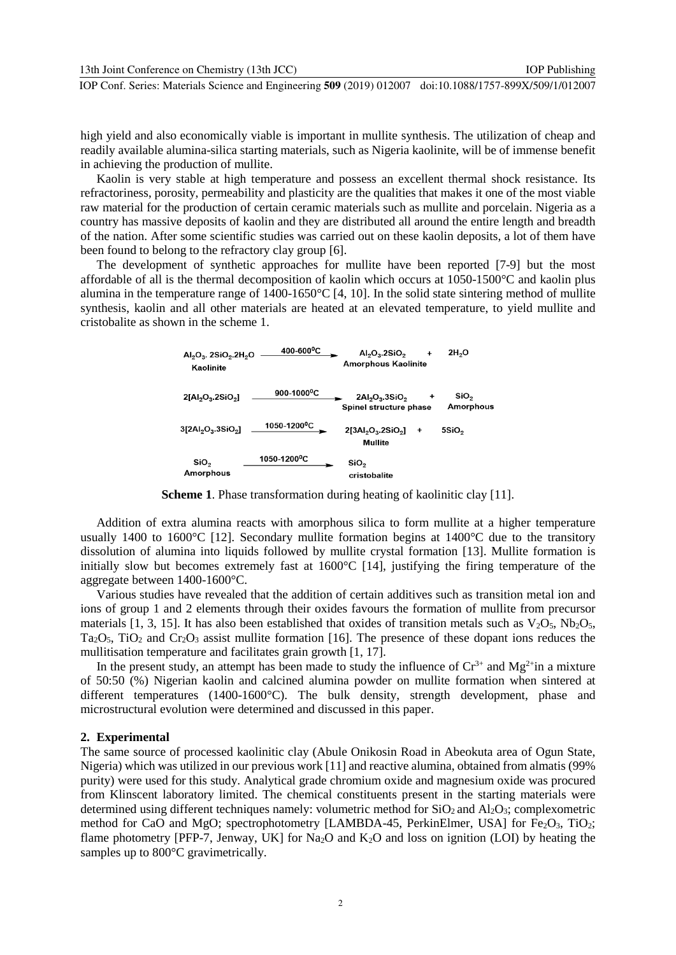IOP Publishing

high yield and also economically viable is important in mullite synthesis. The utilization of cheap and readily available alumina-silica starting materials, such as Nigeria kaolinite, will be of immense benefit in achieving the production of mullite.

Kaolin is very stable at high temperature and possess an excellent thermal shock resistance. Its refractoriness, porosity, permeability and plasticity are the qualities that makes it one of the most viable raw material for the production of certain ceramic materials such as mullite and porcelain. Nigeria as a country has massive deposits of kaolin and they are distributed all around the entire length and breadth of the nation. After some scientific studies was carried out on these kaolin deposits, a lot of them have been found to belong to the refractory clay group [6].

The development of synthetic approaches for mullite have been reported [7-9] but the most affordable of all is the thermal decomposition of kaolin which occurs at 1050-1500°C and kaolin plus alumina in the temperature range of 1400-1650°C [4, 10]. In the solid state sintering method of mullite synthesis, kaolin and all other materials are heated at an elevated temperature, to yield mullite and cristobalite as shown in the scheme 1.

| $Al_2O_3$ . 2SiO <sub>2</sub> .2H <sub>2</sub> O<br>Kaolinite | $400 - 600$ <sup>o</sup> C | 2H <sub>2</sub> O<br>$AI2O3 2SiO2$<br><b>Amorphous Kaolinite</b> |   |                   |  |  |
|---------------------------------------------------------------|----------------------------|------------------------------------------------------------------|---|-------------------|--|--|
| $2[AI_2O_3 2SiO_2]$                                           | 900-1000 <sup>o</sup> C    | $2Al2O3$ .3SiO <sub>2</sub><br>Spinel structure phase            |   | SiO,<br>Amorphous |  |  |
| $3$ [2Al <sub>2</sub> O <sub>3</sub> , $3$ SiO <sub>2</sub> ] | 1050-1200°C                | $2[3Al2O3 2SiO2]$<br>Mullite                                     | ٠ | 5SiO <sub>2</sub> |  |  |
| SiO <sub>2</sub><br><b>Amorphous</b>                          | 1050-1200 <sup>o</sup> C   | SiO,<br>cristobalite                                             |   |                   |  |  |

**Scheme 1**. Phase transformation during heating of kaolinitic clay [11].

Addition of extra alumina reacts with amorphous silica to form mullite at a higher temperature usually 1400 to 1600 $^{\circ}$ C [12]. Secondary mullite formation begins at 1400 $^{\circ}$ C due to the transitory dissolution of alumina into liquids followed by mullite crystal formation [13]. Mullite formation is initially slow but becomes extremely fast at 1600°C [14], justifying the firing temperature of the aggregate between 1400-1600°C.

Various studies have revealed that the addition of certain additives such as transition metal ion and ions of group 1 and 2 elements through their oxides favours the formation of mullite from precursor materials [1, 3, 15]. It has also been established that oxides of transition metals such as  $V_2O_5$ ,  $Nb_2O_5$ ,  $Ta<sub>2</sub>O<sub>5</sub>$ , TiO<sub>2</sub> and Cr<sub>2</sub>O<sub>3</sub> assist mullite formation [16]. The presence of these dopant ions reduces the mullitisation temperature and facilitates grain growth [1, 17].

In the present study, an attempt has been made to study the influence of  $Cr^{3+}$  and  $Mg^{2+}$ in a mixture of 50:50 (%) Nigerian kaolin and calcined alumina powder on mullite formation when sintered at different temperatures (1400-1600°C). The bulk density, strength development, phase and microstructural evolution were determined and discussed in this paper.

## **2. Experimental**

The same source of processed kaolinitic clay (Abule Onikosin Road in Abeokuta area of Ogun State, Nigeria) which was utilized in our previous work [11] and reactive alumina, obtained from almatis (99% purity) were used for this study. Analytical grade chromium oxide and magnesium oxide was procured from Klinscent laboratory limited. The chemical constituents present in the starting materials were determined using different techniques namely: volumetric method for  $SiO<sub>2</sub>$  and  $Al<sub>2</sub>O<sub>3</sub>$ ; complexometric method for CaO and MgO; spectrophotometry [LAMBDA-45, PerkinElmer, USA] for Fe<sub>2</sub>O<sub>3</sub>, TiO<sub>2</sub>; flame photometry [PFP-7, Jenway, UK] for Na<sub>2</sub>O and K<sub>2</sub>O and loss on ignition (LOI) by heating the samples up to 800°C gravimetrically.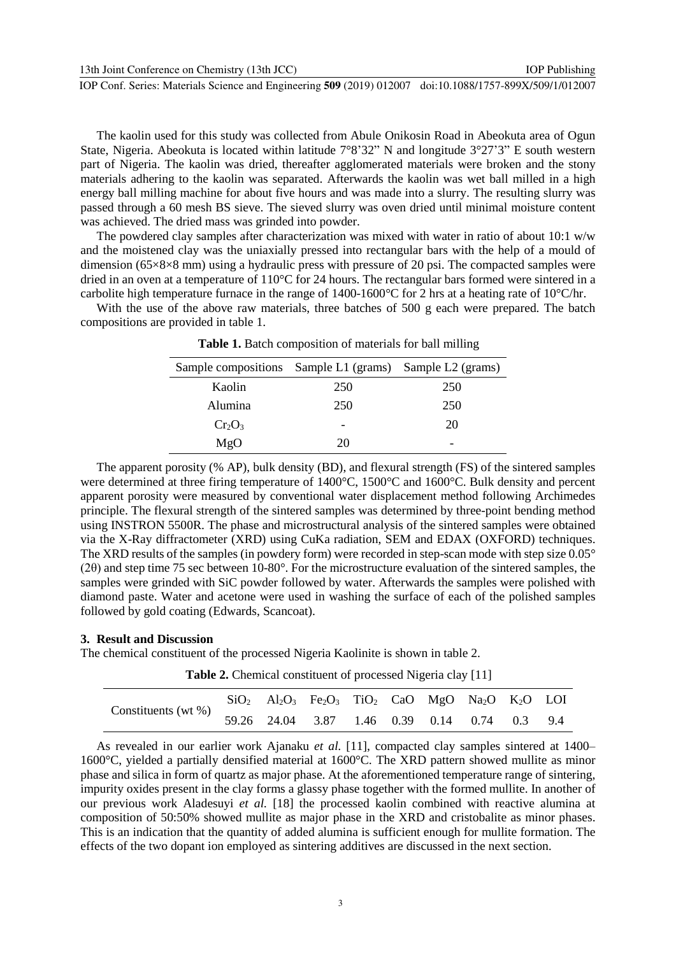13th Joint Conference on Chemistry (13th JCC)

IOP Conf. Series: Materials Science and Engineering **509** (2019) 012007 doi:10.1088/1757-899X/509/1/012007

The kaolin used for this study was collected from Abule Onikosin Road in Abeokuta area of Ogun State, Nigeria. Abeokuta is located within latitude  $7^{\circ}8'32''$  N and longitude  $3^{\circ}27'3''$  E south western part of Nigeria. The kaolin was dried, thereafter agglomerated materials were broken and the stony materials adhering to the kaolin was separated. Afterwards the kaolin was wet ball milled in a high energy ball milling machine for about five hours and was made into a slurry. The resulting slurry was passed through a 60 mesh BS sieve. The sieved slurry was oven dried until minimal moisture content was achieved. The dried mass was grinded into powder.

The powdered clay samples after characterization was mixed with water in ratio of about  $10:1 \text{ w/w}$ and the moistened clay was the uniaxially pressed into rectangular bars with the help of a mould of dimension (65×8×8 mm) using a hydraulic press with pressure of 20 psi. The compacted samples were dried in an oven at a temperature of 110°C for 24 hours. The rectangular bars formed were sintered in a carbolite high temperature furnace in the range of  $1400-1600^{\circ}$ C for 2 hrs at a heating rate of  $10^{\circ}$ C/hr.

With the use of the above raw materials, three batches of 500 g each were prepared. The batch compositions are provided in table 1.

| Sample compositions Sample L1 (grams) Sample L2 (grams) |     |     |
|---------------------------------------------------------|-----|-----|
| Kaolin                                                  | 250 | 250 |
| Alumina                                                 | 250 | 250 |
| $Cr_2O_3$                                               |     | 20  |
| MgO                                                     | 20  | -   |

**Table 1.** Batch composition of materials for ball milling

The apparent porosity (% AP), bulk density (BD), and flexural strength (FS) of the sintered samples were determined at three firing temperature of 1400°C, 1500°C and 1600°C. Bulk density and percent apparent porosity were measured by conventional water displacement method following Archimedes principle. The flexural strength of the sintered samples was determined by three-point bending method using INSTRON 5500R. The phase and microstructural analysis of the sintered samples were obtained via the X-Ray diffractometer (XRD) using CuKa radiation, SEM and EDAX (OXFORD) techniques. The XRD results of the samples (in powdery form) were recorded in step-scan mode with step size 0.05° (2θ) and step time 75 sec between 10-80°. For the microstructure evaluation of the sintered samples, the samples were grinded with SiC powder followed by water. Afterwards the samples were polished with diamond paste. Water and acetone were used in washing the surface of each of the polished samples followed by gold coating (Edwards, Scancoat).

## **3. Result and Discussion**

The chemical constituent of the processed Nigeria Kaolinite is shown in table 2.

**Table 2.** Chemical constituent of processed Nigeria clay [11]

| Constituents (wt $\%$ ) |  | $SiO2$ Al <sub>2</sub> O <sub>3</sub> Fe <sub>2</sub> O <sub>3</sub> TiO <sub>2</sub> CaO MgO Na <sub>2</sub> O K <sub>2</sub> O LOI |  |  |  |
|-------------------------|--|--------------------------------------------------------------------------------------------------------------------------------------|--|--|--|
|                         |  | 59.26 24.04 3.87 1.46 0.39 0.14 0.74 0.3 9.4                                                                                         |  |  |  |

As revealed in our earlier work Ajanaku *et al.* [11], compacted clay samples sintered at 1400– 1600°C, yielded a partially densified material at 1600°C. The XRD pattern showed mullite as minor phase and silica in form of quartz as major phase. At the aforementioned temperature range of sintering, impurity oxides present in the clay forms a glassy phase together with the formed mullite. In another of our previous work Aladesuyi *et al.* [18] the processed kaolin combined with reactive alumina at composition of 50:50% showed mullite as major phase in the XRD and cristobalite as minor phases. This is an indication that the quantity of added alumina is sufficient enough for mullite formation. The effects of the two dopant ion employed as sintering additives are discussed in the next section.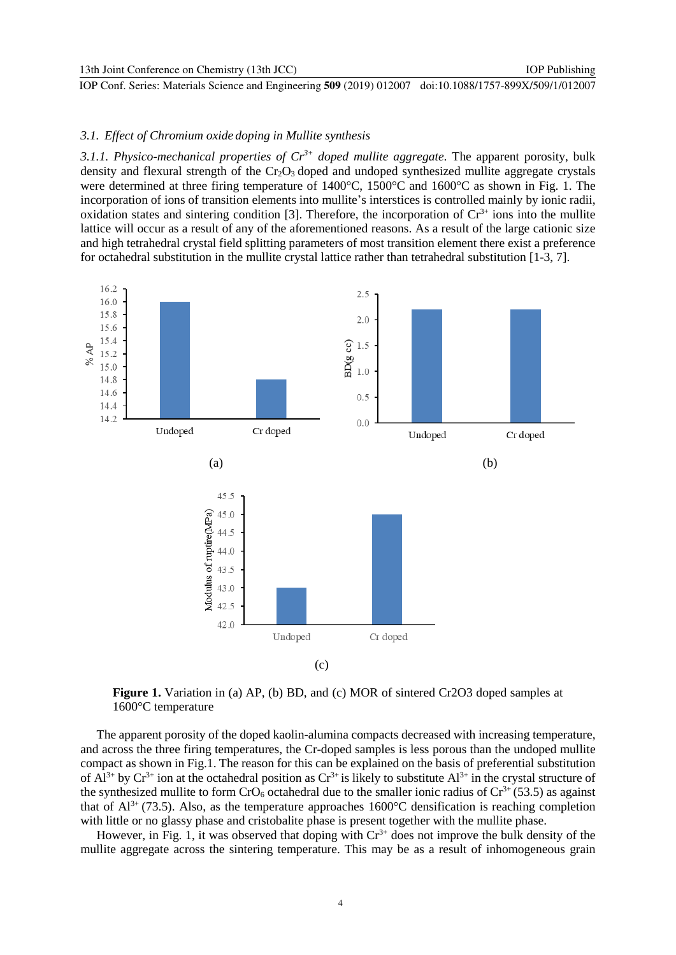#### *3.1. Effect of Chromium oxide doping in Mullite synthesis*

*3.1.1. Physico-mechanical properties of Cr3+ doped mullite aggregate.* The apparent porosity, bulk density and flexural strength of the  $Cr_2O_3$  doped and undoped synthesized mullite aggregate crystals were determined at three firing temperature of 1400°C, 1500°C and 1600°C as shown in Fig. 1. The incorporation of ions of transition elements into mullite's interstices is controlled mainly by ionic radii, oxidation states and sintering condition [3]. Therefore, the incorporation of  $Cr<sup>3+</sup>$  ions into the mullite lattice will occur as a result of any of the aforementioned reasons. As a result of the large cationic size and high tetrahedral crystal field splitting parameters of most transition element there exist a preference for octahedral substitution in the mullite crystal lattice rather than tetrahedral substitution [1-3, 7].



**Figure 1.** Variation in (a) AP, (b) BD, and (c) MOR of sintered Cr2O3 doped samples at 1600°C temperature

The apparent porosity of the doped kaolin-alumina compacts decreased with increasing temperature, and across the three firing temperatures, the Cr-doped samples is less porous than the undoped mullite compact as shown in Fig.1. The reason for this can be explained on the basis of preferential substitution of  $Al^{3+}$  by  $Cr^{3+}$  ion at the octahedral position as  $Cr^{3+}$  is likely to substitute  $Al^{3+}$  in the crystal structure of the synthesized mullite to form  $CrO<sub>6</sub>$  octahedral due to the smaller ionic radius of  $Cr<sup>3+</sup> (53.5)$  as against that of  $Al^{3+}$  (73.5). Also, as the temperature approaches 1600°C densification is reaching completion with little or no glassy phase and cristobalite phase is present together with the mullite phase.

However, in Fig. 1, it was observed that doping with  $Cr<sup>3+</sup>$  does not improve the bulk density of the mullite aggregate across the sintering temperature. This may be as a result of inhomogeneous grain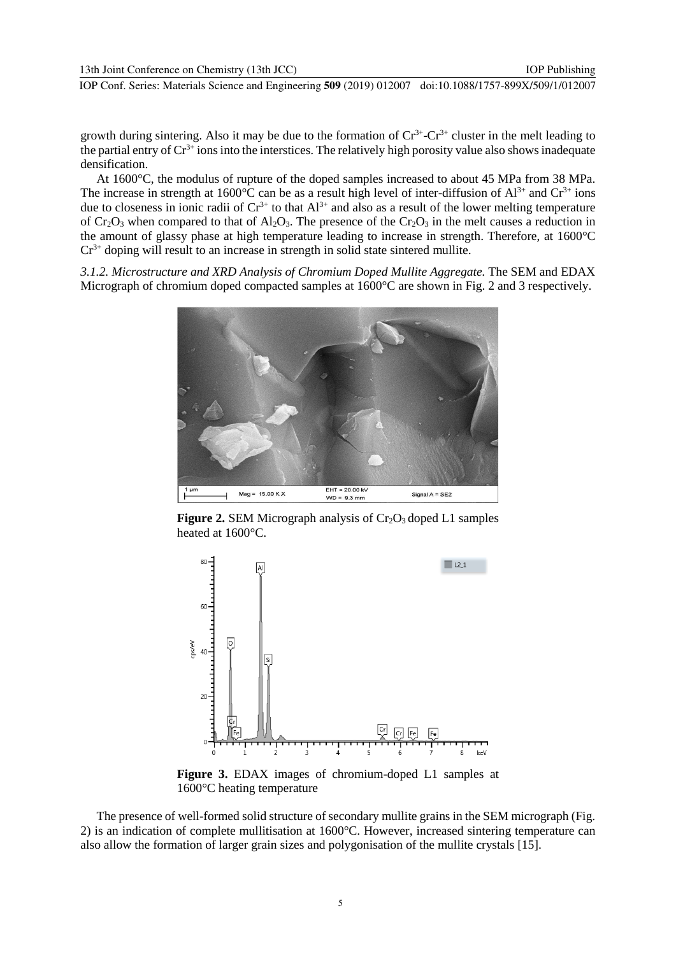growth during sintering. Also it may be due to the formation of  $Cr^{3+}$ - $Cr^{3+}$  cluster in the melt leading to the partial entry of  $Cr^{3+}$  ions into the interstices. The relatively high porosity value also shows inadequate densification.

At 1600°C, the modulus of rupture of the doped samples increased to about 45 MPa from 38 MPa. The increase in strength at  $1600^{\circ}$ C can be as a result high level of inter-diffusion of Al<sup>3+</sup> and Cr<sup>3+</sup> ions due to closeness in ionic radii of  $Cr^{3+}$  to that  $Al^{3+}$  and also as a result of the lower melting temperature of  $Cr_2O_3$  when compared to that of  $Al_2O_3$ . The presence of the  $Cr_2O_3$  in the melt causes a reduction in the amount of glassy phase at high temperature leading to increase in strength. Therefore, at 1600°C  $Cr^{3+}$  doping will result to an increase in strength in solid state sintered mullite.

*3.1.2. Microstructure and XRD Analysis of Chromium Doped Mullite Aggregate.* The SEM and EDAX Micrograph of chromium doped compacted samples at 1600°C are shown in Fig. 2 and 3 respectively.



**Figure 2.** SEM Micrograph analysis of  $Cr_2O_3$  doped L1 samples heated at 1600°C.



**Figure 3.** EDAX images of chromium-doped L1 samples at 1600°C heating temperature

The presence of well-formed solid structure of secondary mullite grains in the SEM micrograph (Fig. 2) is an indication of complete mullitisation at 1600°C. However, increased sintering temperature can also allow the formation of larger grain sizes and polygonisation of the mullite crystals [15].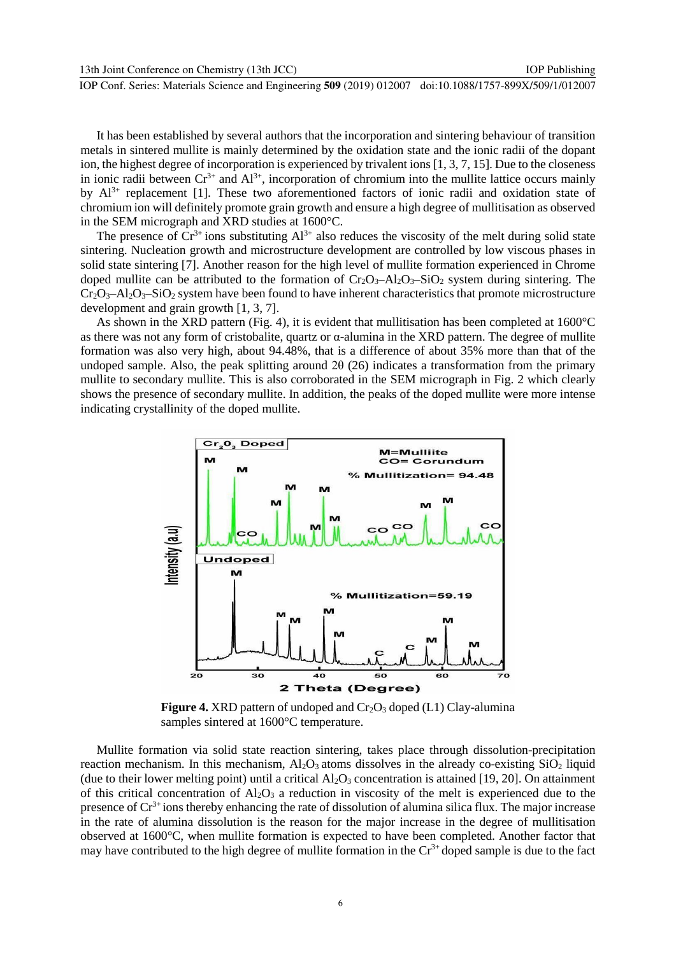IOP Publishing

IOP Conf. Series: Materials Science and Engineering **509** (2019) 012007 doi:10.1088/1757-899X/509/1/012007

It has been established by several authors that the incorporation and sintering behaviour of transition metals in sintered mullite is mainly determined by the oxidation state and the ionic radii of the dopant ion, the highest degree of incorporation is experienced by trivalent ions [1, 3, 7, 15]. Due to the closeness in ionic radii between  $Cr^{3+}$  and  $Al^{3+}$ , incorporation of chromium into the mullite lattice occurs mainly by  $Al^{3+}$  replacement [1]. These two aforementioned factors of ionic radii and oxidation state of chromium ion will definitely promote grain growth and ensure a high degree of mullitisation as observed in the SEM micrograph and XRD studies at 1600°C.

The presence of  $Cr^{3+}$  ions substituting  $Al^{3+}$  also reduces the viscosity of the melt during solid state sintering. Nucleation growth and microstructure development are controlled by low viscous phases in solid state sintering [7]. Another reason for the high level of mullite formation experienced in Chrome doped mullite can be attributed to the formation of  $Cr_2O_3-Al_2O_3-SiO_2$  system during sintering. The  $Cr_2O_3-Al_2O_3-SiO_2$  system have been found to have inherent characteristics that promote microstructure development and grain growth [1, 3, 7].

As shown in the XRD pattern (Fig. 4), it is evident that mullitisation has been completed at 1600°C as there was not any form of cristobalite, quartz or α-alumina in the XRD pattern. The degree of mullite formation was also very high, about 94.48%, that is a difference of about 35% more than that of the undoped sample. Also, the peak splitting around  $2\theta$  (26) indicates a transformation from the primary mullite to secondary mullite. This is also corroborated in the SEM micrograph in Fig. 2 which clearly shows the presence of secondary mullite. In addition, the peaks of the doped mullite were more intense indicating crystallinity of the doped mullite.



**Figure 4.** XRD pattern of undoped and Cr<sub>2</sub>O<sub>3</sub> doped (L1) Clay-alumina samples sintered at 1600°C temperature.

Mullite formation via solid state reaction sintering, takes place through dissolution-precipitation reaction mechanism. In this mechanism,  $A_1O_3$  atoms dissolves in the already co-existing SiO<sub>2</sub> liquid (due to their lower melting point) until a critical  $Al_2O_3$  concentration is attained [19, 20]. On attainment of this critical concentration of  $Al_2O_3$  a reduction in viscosity of the melt is experienced due to the presence of  $Cr<sup>3+</sup>$  ions thereby enhancing the rate of dissolution of alumina silica flux. The major increase in the rate of alumina dissolution is the reason for the major increase in the degree of mullitisation observed at 1600°C, when mullite formation is expected to have been completed. Another factor that may have contributed to the high degree of mullite formation in the  $Cr<sup>3+</sup>$  doped sample is due to the fact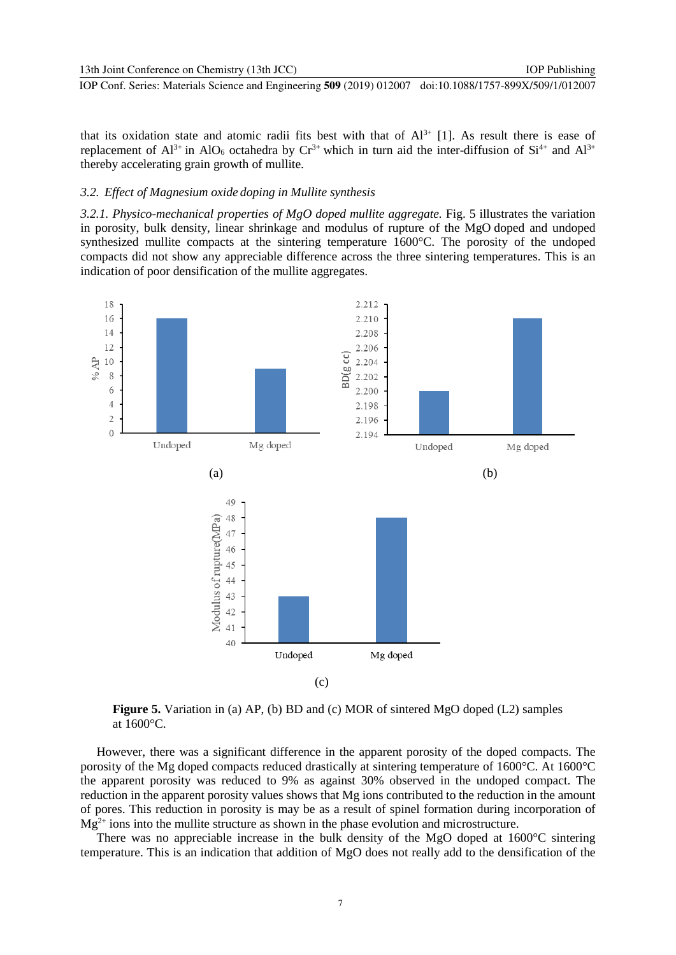IOP Publishing

IOP Conf. Series: Materials Science and Engineering **509** (2019) 012007 doi:10.1088/1757-899X/509/1/012007

that its oxidation state and atomic radii fits best with that of  $Al^{3+}$  [1]. As result there is ease of replacement of  $Al^{3+}$  in  $AlO_6$  octahedra by  $Cr^{3+}$  which in turn aid the inter-diffusion of  $Si^{4+}$  and  $Al^{3+}$ thereby accelerating grain growth of mullite.

#### *3.2. Effect of Magnesium oxide doping in Mullite synthesis*

*3.2.1. Physico-mechanical properties of MgO doped mullite aggregate.* Fig. 5 illustrates the variation in porosity, bulk density, linear shrinkage and modulus of rupture of the MgO doped and undoped synthesized mullite compacts at the sintering temperature 1600°C. The porosity of the undoped compacts did not show any appreciable difference across the three sintering temperatures. This is an indication of poor densification of the mullite aggregates.



**Figure 5.** Variation in (a) AP, (b) BD and (c) MOR of sintered MgO doped (L2) samples at 1600°C.

However, there was a significant difference in the apparent porosity of the doped compacts. The porosity of the Mg doped compacts reduced drastically at sintering temperature of 1600°C. At 1600°C the apparent porosity was reduced to 9% as against 30% observed in the undoped compact. The reduction in the apparent porosity values shows that Mg ions contributed to the reduction in the amount of pores. This reduction in porosity is may be as a result of spinel formation during incorporation of  $Mg^{2+}$  ions into the mullite structure as shown in the phase evolution and microstructure.

There was no appreciable increase in the bulk density of the MgO doped at 1600°C sintering temperature. This is an indication that addition of MgO does not really add to the densification of the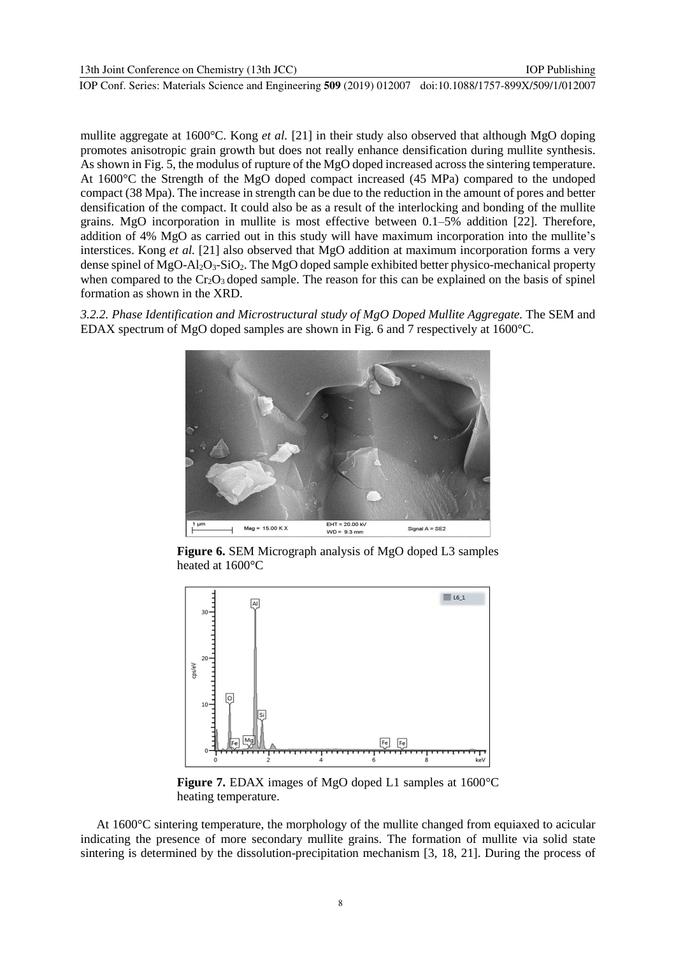mullite aggregate at 1600°C. Kong *et al.* [21] in their study also observed that although MgO doping promotes anisotropic grain growth but does not really enhance densification during mullite synthesis. As shown in Fig. 5, the modulus of rupture of the MgO doped increased acrossthe sintering temperature. At 1600°C the Strength of the MgO doped compact increased (45 MPa) compared to the undoped compact (38 Mpa). The increase in strength can be due to the reduction in the amount of pores and better densification of the compact. It could also be as a result of the interlocking and bonding of the mullite grains. MgO incorporation in mullite is most effective between 0.1–5% addition [22]. Therefore, addition of 4% MgO as carried out in this study will have maximum incorporation into the mullite's interstices. Kong *et al.* [21] also observed that MgO addition at maximum incorporation forms a very dense spinel of MgO-Al2O3-SiO2. The MgO doped sample exhibited better physico-mechanical property when compared to the  $Cr_2O_3$  doped sample. The reason for this can be explained on the basis of spinel formation as shown in the XRD.

*3.2.2. Phase Identification and Microstructural study of MgO Doped Mullite Aggregate.* The SEM and EDAX spectrum of MgO doped samples are shown in Fig. 6 and 7 respectively at 1600°C.



**Figure 6.** SEM Micrograph analysis of MgO doped L3 samples heated at 1600°C



**Figure 7.** EDAX images of MgO doped L1 samples at 1600°C heating temperature.

At 1600°C sintering temperature, the morphology of the mullite changed from equiaxed to acicular indicating the presence of more secondary mullite grains. The formation of mullite via solid state sintering is determined by the dissolution-precipitation mechanism [3, 18, 21]. During the process of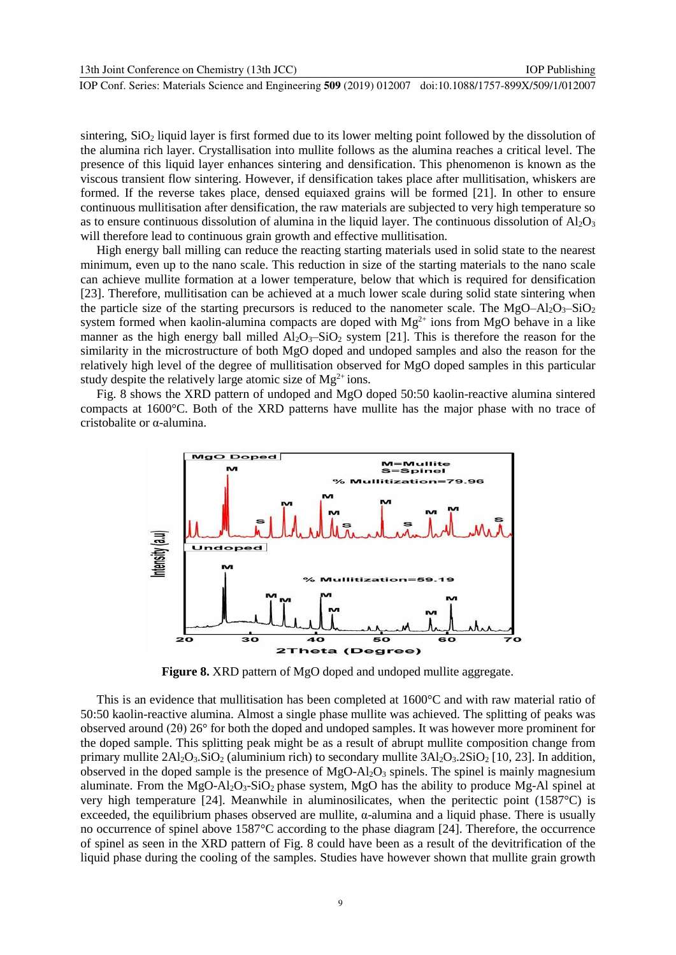sintering, SiO<sub>2</sub> liquid layer is first formed due to its lower melting point followed by the dissolution of the alumina rich layer. Crystallisation into mullite follows as the alumina reaches a critical level. The presence of this liquid layer enhances sintering and densification. This phenomenon is known as the viscous transient flow sintering. However, if densification takes place after mullitisation, whiskers are formed. If the reverse takes place, densed equiaxed grains will be formed [21]. In other to ensure continuous mullitisation after densification, the raw materials are subjected to very high temperature so as to ensure continuous dissolution of alumina in the liquid layer. The continuous dissolution of  $A_2O_3$ will therefore lead to continuous grain growth and effective mullitisation.

High energy ball milling can reduce the reacting starting materials used in solid state to the nearest minimum, even up to the nano scale. This reduction in size of the starting materials to the nano scale can achieve mullite formation at a lower temperature, below that which is required for densification [23]. Therefore, mullitisation can be achieved at a much lower scale during solid state sintering when the particle size of the starting precursors is reduced to the nanometer scale. The MgO–Al<sub>2</sub>O<sub>3</sub>–SiO<sub>2</sub> system formed when kaolin-alumina compacts are doped with  $Mg^{2+}$  ions from MgO behave in a like manner as the high energy ball milled  $\overline{Al_2O_3-SiO_2}$  system [21]. This is therefore the reason for the similarity in the microstructure of both MgO doped and undoped samples and also the reason for the relatively high level of the degree of mullitisation observed for MgO doped samples in this particular study despite the relatively large atomic size of  $Mg^{2+}$  ions.

Fig. 8 shows the XRD pattern of undoped and MgO doped 50:50 kaolin-reactive alumina sintered compacts at 1600°C. Both of the XRD patterns have mullite has the major phase with no trace of cristobalite or α-alumina.



**Figure 8.** XRD pattern of MgO doped and undoped mullite aggregate.

This is an evidence that mullitisation has been completed at 1600°C and with raw material ratio of 50:50 kaolin-reactive alumina. Almost a single phase mullite was achieved. The splitting of peaks was observed around (2θ) 26° for both the doped and undoped samples. It was however more prominent for the doped sample. This splitting peak might be as a result of abrupt mullite composition change from primary mullite  $2\text{Al}_2\text{O}_3$ . SiO<sub>2</sub> (aluminium rich) to secondary mullite  $3\text{Al}_2\text{O}_3$ . 2SiO<sub>2</sub> [10, 23]. In addition, observed in the doped sample is the presence of  $MgO-Al_2O_3$  spinels. The spinel is mainly magnesium aluminate. From the MgO-Al<sub>2</sub>O<sub>3</sub>-SiO<sub>2</sub> phase system, MgO has the ability to produce Mg-Al spinel at very high temperature [24]. Meanwhile in aluminosilicates, when the peritectic point (1587°C) is exceeded, the equilibrium phases observed are mullite,  $\alpha$ -alumina and a liquid phase. There is usually no occurrence of spinel above 1587°C according to the phase diagram [24]. Therefore, the occurrence of spinel as seen in the XRD pattern of Fig. 8 could have been as a result of the devitrification of the liquid phase during the cooling of the samples. Studies have however shown that mullite grain growth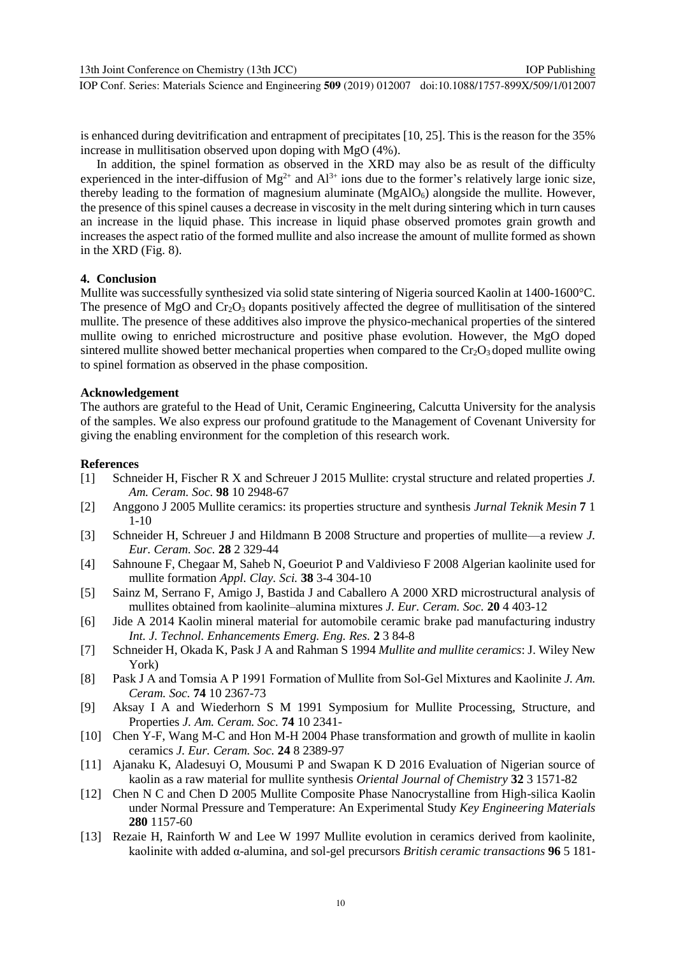is enhanced during devitrification and entrapment of precipitates [10, 25]. This is the reason for the 35% increase in mullitisation observed upon doping with MgO (4%).

In addition, the spinel formation as observed in the XRD may also be as result of the difficulty experienced in the inter-diffusion of  $Mg^{2+}$  and  $Al^{3+}$  ions due to the former's relatively large ionic size, thereby leading to the formation of magnesium aluminate  $(MgAIO<sub>6</sub>)$  alongside the mullite. However, the presence of this spinel causes a decrease in viscosity in the melt during sintering which in turn causes an increase in the liquid phase. This increase in liquid phase observed promotes grain growth and increases the aspect ratio of the formed mullite and also increase the amount of mullite formed as shown in the XRD (Fig. 8).

## **4. Conclusion**

Mullite was successfully synthesized via solid state sintering of Nigeria sourced Kaolin at 1400-1600°C. The presence of MgO and  $Cr_2O_3$  dopants positively affected the degree of mullitisation of the sintered mullite. The presence of these additives also improve the physico-mechanical properties of the sintered mullite owing to enriched microstructure and positive phase evolution. However, the MgO doped sintered mullite showed better mechanical properties when compared to the  $Cr_2O_3$  doped mullite owing to spinel formation as observed in the phase composition.

#### **Acknowledgement**

The authors are grateful to the Head of Unit, Ceramic Engineering, Calcutta University for the analysis of the samples. We also express our profound gratitude to the Management of Covenant University for giving the enabling environment for the completion of this research work.

#### **References**

- [1] Schneider H, Fischer R X and Schreuer J 2015 Mullite: crystal structure and related properties *J. Am. Ceram. Soc.* **98** 10 2948-67
- [2] Anggono J 2005 Mullite ceramics: its properties structure and synthesis *Jurnal Teknik Mesin* **7** 1 1-10
- [3] Schneider H, Schreuer J and Hildmann B 2008 Structure and properties of mullite—a review *J. Eur. Ceram. Soc.* **28** 2 329-44
- [4] Sahnoune F, Chegaar M, Saheb N, Goeuriot P and Valdivieso F 2008 Algerian kaolinite used for mullite formation *Appl. Clay. Sci.* **38** 3-4 304-10
- [5] Sainz M, Serrano F, Amigo J, Bastida J and Caballero A 2000 XRD microstructural analysis of mullites obtained from kaolinite–alumina mixtures *J. Eur. Ceram. Soc.* **20** 4 403-12
- [6] Jide A 2014 Kaolin mineral material for automobile ceramic brake pad manufacturing industry *Int. J. Technol. Enhancements Emerg. Eng. Res.* **2** 3 84-8
- [7] Schneider H, Okada K, Pask J A and Rahman S 1994 *Mullite and mullite ceramics*: J. Wiley New York)
- [8] Pask J A and Tomsia A P 1991 Formation of Mullite from Sol‐Gel Mixtures and Kaolinite *J. Am. Ceram. Soc.* **74** 10 2367-73
- [9] Aksay I A and Wiederhorn S M 1991 Symposium for Mullite Processing, Structure, and Properties *J. Am. Ceram. Soc.* **74** 10 2341-
- [10] Chen Y-F, Wang M-C and Hon M-H 2004 Phase transformation and growth of mullite in kaolin ceramics *J. Eur. Ceram. Soc.* **24** 8 2389-97
- [11] Ajanaku K, Aladesuyi O, Mousumi P and Swapan K D 2016 Evaluation of Nigerian source of kaolin as a raw material for mullite synthesis *Oriental Journal of Chemistry* **32** 3 1571-82
- [12] Chen N C and Chen D 2005 Mullite Composite Phase Nanocrystalline from High-silica Kaolin under Normal Pressure and Temperature: An Experimental Study *Key Engineering Materials* **280** 1157-60
- [13] Rezaie H, Rainforth W and Lee W 1997 Mullite evolution in ceramics derived from kaolinite, kaolinite with added α-alumina, and sol-gel precursors *British ceramic transactions* **96** 5 181-